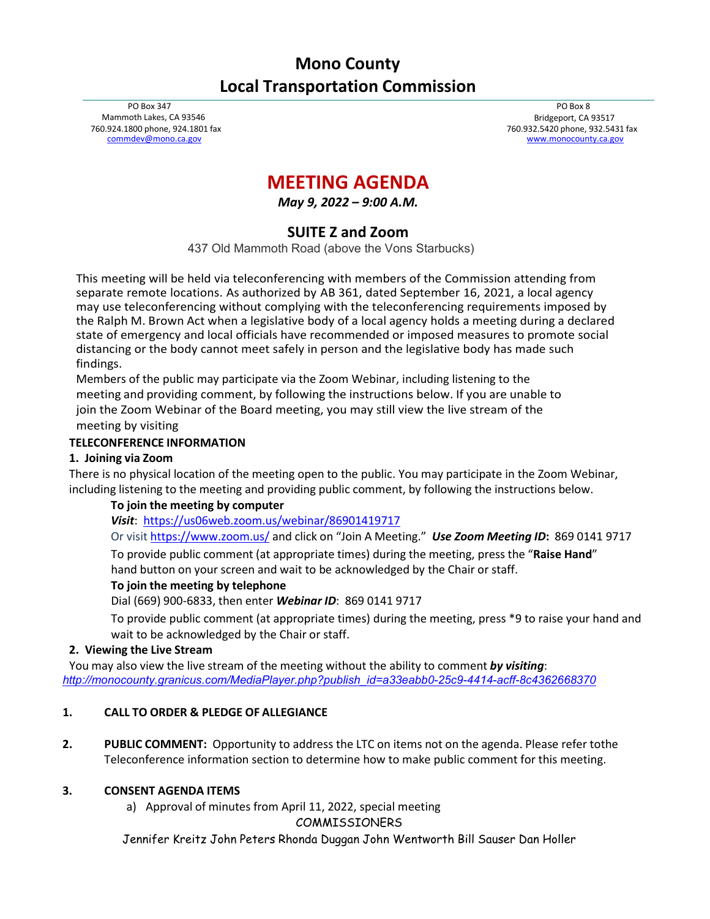# **Mono County Local Transportation Commission**

PO Box 347 Mammoth Lakes, CA 93546 760.924.1800 phone, 924.1801 fax [commdev@mono.ca.gov](mailto:commdev@mono.ca.gov)

PO Box 8 Bridgeport, CA 93517 760.932.5420 phone, 932.5431 fax [www.monocounty.ca.gov](http://www.monocounty.ca.gov/)

# **MEETING AGENDA**

*May 9, 2022 – 9:00 A.M.*

# **SUITE Z and Zoom**

437 Old Mammoth Road (above the Vons Starbucks)

This meeting will be held via teleconferencing with members of the Commission attending from separate remote locations. As authorized by AB 361, dated September 16, 2021, a local agency may use teleconferencing without complying with the teleconferencing requirements imposed by the Ralph M. Brown Act when a legislative body of a local agency holds a meeting during a declared state of emergency and local officials have recommended or imposed measures to promote social distancing or the body cannot meet safely in person and the legislative body has made such findings.

Members of the public may participate via the Zoom Webinar, including listening to the meeting and providing comment, by following the instructions below. If you are unable to join the Zoom Webinar of the Board meeting, you may still view the live stream of the meeting by visiting

#### **TELECONFERENCE INFORMATION**

#### **1. Joining via Zoom**

There is no physical location of the meeting open to the public. You may participate in the Zoom Webinar, including listening to the meeting and providing public comment, by following the instructions below.

## **To join the meeting by computer**

*Visit*: <https://us06web.zoom.us/webinar/86901419717>

Or visi[t https://www.zoom.us/](https://www.zoom.us/) and click on "Join A Meeting." *Use Zoom Meeting ID***:** 869 0141 9717

To provide public comment (at appropriate times) during the meeting, press the "**Raise Hand**" hand button on your screen and wait to be acknowledged by the Chair or staff.

#### **To join the meeting by telephone**

Dial (669) 900-6833, then enter *Webinar ID*: 869 0141 9717

To provide public comment (at appropriate times) during the meeting, press \*9 to raise your hand and wait to be acknowledged by the Chair or staff.

#### **2. Viewing the Live Stream**

You may also view the live stream of the meeting without the ability to comment *by visiting*: *[http://monocounty.granicus.com/MediaPlayer.php?publish\\_id=a33eabb0-25c9-4414-acff-8c4362668370](http://monocounty.granicus.com/MediaPlayer.php?publish_id=a33eabb0-25c9-4414-acff-8c4362668370)*

## **1. CALL TO ORDER & PLEDGE OF ALLEGIANCE**

**2. PUBLIC COMMENT:** Opportunity to address the LTC on items not on the agenda. Please refer tothe Teleconference information section to determine how to make public comment for this meeting.

## **3. CONSENT AGENDA ITEMS**

a) Approval of minutes from April 11, 2022, special meeting

COMMISSIONERS

Jennifer Kreitz John Peters Rhonda Duggan John Wentworth Bill Sauser Dan Holler